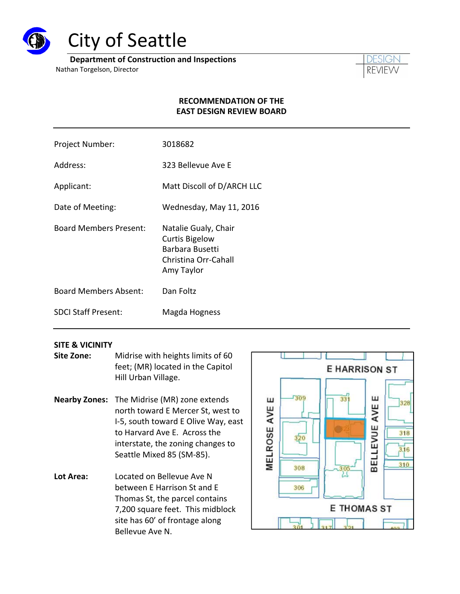

# City of Seattle

**Department of Construction and Inspections**

Nathan Torgelson, Director



## **RECOMMENDATION OF THE EAST DESIGN REVIEW BOARD**

- Project Number: 3018682
- Address: 323 Bellevue Ave E
- Applicant: Matt Discoll of D/ARCH LLC
- Date of Meeting: Wednesday, May 11, 2016
- Board Members Present: Natalie Gualy, Chair Curtis Bigelow Barbara Busetti Christina Orr‐Cahall Amy Taylor
- Board Members Absent: Dan Foltz
- SDCI Staff Present: Magda Hogness

#### **SITE & VICINITY**

- **Site Zone:** Midrise with heights limits of 60 feet; (MR) located in the Capitol Hill Urban Village.
- **Nearby Zones:** The Midrise (MR) zone extends north toward E Mercer St, west to I‐5, south toward E Olive Way, east to Harvard Ave E. Across the interstate, the zoning changes to Seattle Mixed 85 (SM‐85).
- **Lot Area:** Located on Bellevue Ave N between E Harrison St and E Thomas St, the parcel contains 7,200 square feet. This midblock site has 60' of frontage along Bellevue Ave N.

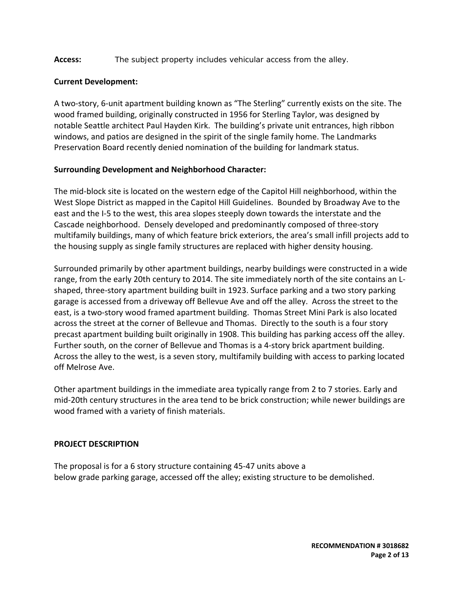## Access: The subject property includes vehicular access from the alley.

#### **Current Development:**

A two‐story, 6‐unit apartment building known as "The Sterling" currently exists on the site. The wood framed building, originally constructed in 1956 for Sterling Taylor, was designed by notable Seattle architect Paul Hayden Kirk. The building's private unit entrances, high ribbon windows, and patios are designed in the spirit of the single family home. The Landmarks Preservation Board recently denied nomination of the building for landmark status.

## **Surrounding Development and Neighborhood Character:**

The mid‐block site is located on the western edge of the Capitol Hill neighborhood, within the West Slope District as mapped in the Capitol Hill Guidelines. Bounded by Broadway Ave to the east and the I‐5 to the west, this area slopes steeply down towards the interstate and the Cascade neighborhood. Densely developed and predominantly composed of three‐story multifamily buildings, many of which feature brick exteriors, the area's small infill projects add to the housing supply as single family structures are replaced with higher density housing.

Surrounded primarily by other apartment buildings, nearby buildings were constructed in a wide range, from the early 20th century to 2014. The site immediately north of the site contains an L‐ shaped, three‐story apartment building built in 1923. Surface parking and a two story parking garage is accessed from a driveway off Bellevue Ave and off the alley. Across the street to the east, is a two‐story wood framed apartment building. Thomas Street Mini Park is also located across the street at the corner of Bellevue and Thomas. Directly to the south is a four story precast apartment building built originally in 1908. This building has parking access off the alley. Further south, on the corner of Bellevue and Thomas is a 4‐story brick apartment building. Across the alley to the west, is a seven story, multifamily building with access to parking located off Melrose Ave.

Other apartment buildings in the immediate area typically range from 2 to 7 stories. Early and mid‐20th century structures in the area tend to be brick construction; while newer buildings are wood framed with a variety of finish materials.

#### **PROJECT DESCRIPTION**

The proposal is for a 6 story structure containing 45‐47 units above a below grade parking garage, accessed off the alley; existing structure to be demolished.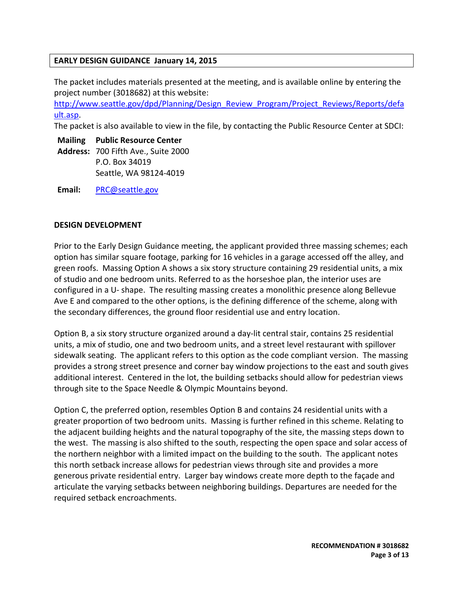#### **EARLY DESIGN GUIDANCE January 14, 2015**

The packet includes materials presented at the meeting, and is available online by entering the project number (3018682) at this website:

http://www.seattle.gov/dpd/Planning/Design\_Review\_Program/Project\_Reviews/Reports/defa ult.asp.

The packet is also available to view in the file, by contacting the Public Resource Center at SDCI:

**Mailing Public Resource Center**

**Address:** 700 Fifth Ave., Suite 2000 P.O. Box 34019 Seattle, WA 98124‐4019

**Email:** PRC@seattle.gov

#### **DESIGN DEVELOPMENT**

Prior to the Early Design Guidance meeting, the applicant provided three massing schemes; each option has similar square footage, parking for 16 vehicles in a garage accessed off the alley, and green roofs. Massing Option A shows a six story structure containing 29 residential units, a mix of studio and one bedroom units. Referred to as the horseshoe plan, the interior uses are configured in a U‐ shape. The resulting massing creates a monolithic presence along Bellevue Ave E and compared to the other options, is the defining difference of the scheme, along with the secondary differences, the ground floor residential use and entry location.

Option B, a six story structure organized around a day‐lit central stair, contains 25 residential units, a mix of studio, one and two bedroom units, and a street level restaurant with spillover sidewalk seating. The applicant refers to this option as the code compliant version. The massing provides a strong street presence and corner bay window projections to the east and south gives additional interest. Centered in the lot, the building setbacks should allow for pedestrian views through site to the Space Needle & Olympic Mountains beyond.

Option C, the preferred option, resembles Option B and contains 24 residential units with a greater proportion of two bedroom units. Massing is further refined in this scheme. Relating to the adjacent building heights and the natural topography of the site, the massing steps down to the west. The massing is also shifted to the south, respecting the open space and solar access of the northern neighbor with a limited impact on the building to the south. The applicant notes this north setback increase allows for pedestrian views through site and provides a more generous private residential entry. Larger bay windows create more depth to the façade and articulate the varying setbacks between neighboring buildings. Departures are needed for the required setback encroachments.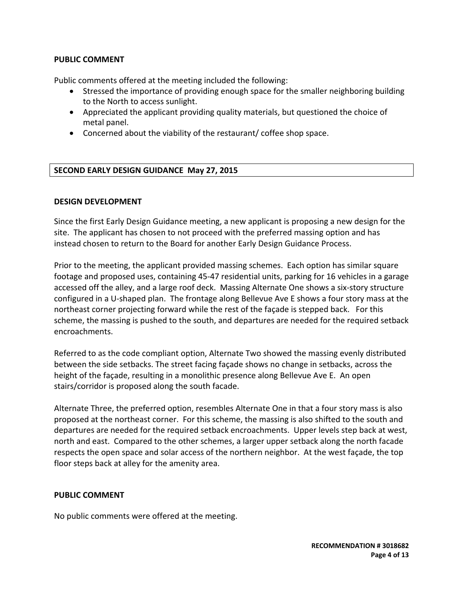#### **PUBLIC COMMENT**

Public comments offered at the meeting included the following:

- Stressed the importance of providing enough space for the smaller neighboring building to the North to access sunlight.
- Appreciated the applicant providing quality materials, but questioned the choice of metal panel.
- Concerned about the viability of the restaurant/ coffee shop space.

#### **SECOND EARLY DESIGN GUIDANCE May 27, 2015**

#### **DESIGN DEVELOPMENT**

Since the first Early Design Guidance meeting, a new applicant is proposing a new design for the site. The applicant has chosen to not proceed with the preferred massing option and has instead chosen to return to the Board for another Early Design Guidance Process.

Prior to the meeting, the applicant provided massing schemes. Each option has similar square footage and proposed uses, containing 45‐47 residential units, parking for 16 vehicles in a garage accessed off the alley, and a large roof deck. Massing Alternate One shows a six‐story structure configured in a U‐shaped plan. The frontage along Bellevue Ave E shows a four story mass at the northeast corner projecting forward while the rest of the façade is stepped back. For this scheme, the massing is pushed to the south, and departures are needed for the required setback encroachments.

Referred to as the code compliant option, Alternate Two showed the massing evenly distributed between the side setbacks. The street facing façade shows no change in setbacks, across the height of the façade, resulting in a monolithic presence along Bellevue Ave E. An open stairs/corridor is proposed along the south facade.

Alternate Three, the preferred option, resembles Alternate One in that a four story mass is also proposed at the northeast corner. For this scheme, the massing is also shifted to the south and departures are needed for the required setback encroachments. Upper levels step back at west, north and east. Compared to the other schemes, a larger upper setback along the north facade respects the open space and solar access of the northern neighbor. At the west façade, the top floor steps back at alley for the amenity area.

#### **PUBLIC COMMENT**

No public comments were offered at the meeting.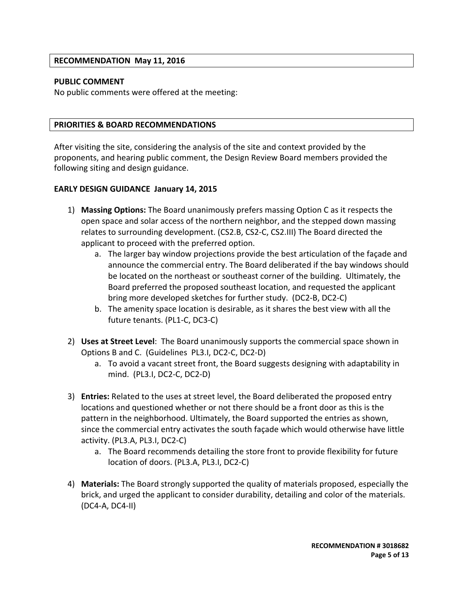#### **RECOMMENDATION May 11, 2016**

#### **PUBLIC COMMENT**

No public comments were offered at the meeting:

#### **PRIORITIES & BOARD RECOMMENDATIONS**

After visiting the site, considering the analysis of the site and context provided by the proponents, and hearing public comment, the Design Review Board members provided the following siting and design guidance.

#### **EARLY DESIGN GUIDANCE January 14, 2015**

- 1) **Massing Options:** The Board unanimously prefers massing Option C as it respects the open space and solar access of the northern neighbor, and the stepped down massing relates to surrounding development. (CS2.B, CS2‐C, CS2.III) The Board directed the applicant to proceed with the preferred option.
	- a. The larger bay window projections provide the best articulation of the façade and announce the commercial entry. The Board deliberated if the bay windows should be located on the northeast or southeast corner of the building. Ultimately, the Board preferred the proposed southeast location, and requested the applicant bring more developed sketches for further study. (DC2‐B, DC2‐C)
	- b. The amenity space location is desirable, as it shares the best view with all the future tenants. (PL1‐C, DC3‐C)
- 2) **Uses at Street Level**: The Board unanimously supports the commercial space shown in Options B and C. (Guidelines PL3.I, DC2‐C, DC2‐D)
	- a. To avoid a vacant street front, the Board suggests designing with adaptability in mind. (PL3.I, DC2‐C, DC2‐D)
- 3) **Entries:** Related to the uses at street level, the Board deliberated the proposed entry locations and questioned whether or not there should be a front door as this is the pattern in the neighborhood. Ultimately, the Board supported the entries as shown, since the commercial entry activates the south façade which would otherwise have little activity. (PL3.A, PL3.I, DC2‐C)
	- a. The Board recommends detailing the store front to provide flexibility for future location of doors. (PL3.A, PL3.I, DC2‐C)
- 4) **Materials:** The Board strongly supported the quality of materials proposed, especially the brick, and urged the applicant to consider durability, detailing and color of the materials. (DC4‐A, DC4‐II)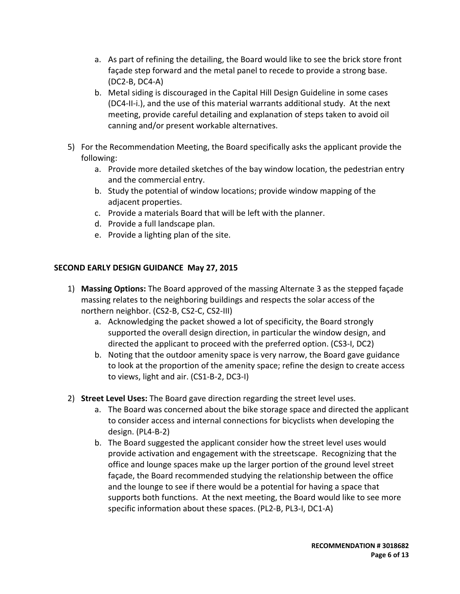- a. As part of refining the detailing, the Board would like to see the brick store front façade step forward and the metal panel to recede to provide a strong base. (DC2‐B, DC4‐A)
- b. Metal siding is discouraged in the Capital Hill Design Guideline in some cases (DC4‐II‐i.), and the use of this material warrants additional study. At the next meeting, provide careful detailing and explanation of steps taken to avoid oil canning and/or present workable alternatives.
- 5) For the Recommendation Meeting, the Board specifically asks the applicant provide the following:
	- a. Provide more detailed sketches of the bay window location, the pedestrian entry and the commercial entry.
	- b. Study the potential of window locations; provide window mapping of the adjacent properties.
	- c. Provide a materials Board that will be left with the planner.
	- d. Provide a full landscape plan.
	- e. Provide a lighting plan of the site.

# **SECOND EARLY DESIGN GUIDANCE May 27, 2015**

- 1) **Massing Options:** The Board approved of the massing Alternate 3 as the stepped façade massing relates to the neighboring buildings and respects the solar access of the northern neighbor. (CS2‐B, CS2‐C, CS2‐III)
	- a. Acknowledging the packet showed a lot of specificity, the Board strongly supported the overall design direction, in particular the window design, and directed the applicant to proceed with the preferred option. (CS3‐I, DC2)
	- b. Noting that the outdoor amenity space is very narrow, the Board gave guidance to look at the proportion of the amenity space; refine the design to create access to views, light and air. (CS1‐B‐2, DC3‐I)
- 2) **Street Level Uses:** The Board gave direction regarding the street level uses.
	- a. The Board was concerned about the bike storage space and directed the applicant to consider access and internal connections for bicyclists when developing the design. (PL4‐B‐2)
	- b. The Board suggested the applicant consider how the street level uses would provide activation and engagement with the streetscape. Recognizing that the office and lounge spaces make up the larger portion of the ground level street façade, the Board recommended studying the relationship between the office and the lounge to see if there would be a potential for having a space that supports both functions. At the next meeting, the Board would like to see more specific information about these spaces. (PL2‐B, PL3‐I, DC1‐A)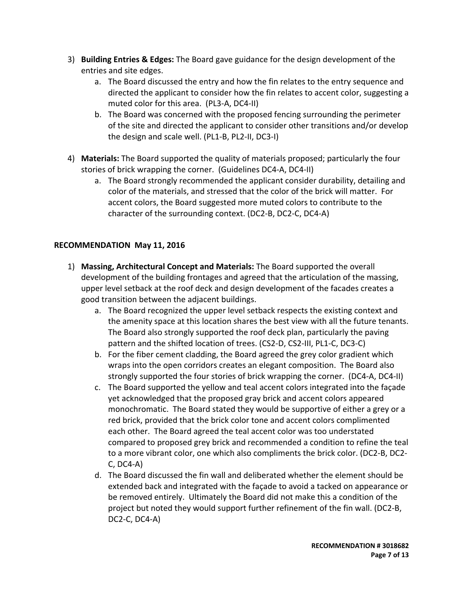- 3) **Building Entries & Edges:** The Board gave guidance for the design development of the entries and site edges.
	- a. The Board discussed the entry and how the fin relates to the entry sequence and directed the applicant to consider how the fin relates to accent color, suggesting a muted color for this area. (PL3‐A, DC4‐II)
	- b. The Board was concerned with the proposed fencing surrounding the perimeter of the site and directed the applicant to consider other transitions and/or develop the design and scale well. (PL1‐B, PL2‐II, DC3‐I)
- 4) **Materials:** The Board supported the quality of materials proposed; particularly the four stories of brick wrapping the corner. (Guidelines DC4‐A, DC4‐II)
	- a. The Board strongly recommended the applicant consider durability, detailing and color of the materials, and stressed that the color of the brick will matter. For accent colors, the Board suggested more muted colors to contribute to the character of the surrounding context. (DC2‐B, DC2‐C, DC4‐A)

# **RECOMMENDATION May 11, 2016**

- 1) **Massing, Architectural Concept and Materials:** The Board supported the overall development of the building frontages and agreed that the articulation of the massing, upper level setback at the roof deck and design development of the facades creates a good transition between the adjacent buildings.
	- a. The Board recognized the upper level setback respects the existing context and the amenity space at this location shares the best view with all the future tenants. The Board also strongly supported the roof deck plan, particularly the paving pattern and the shifted location of trees. (CS2‐D, CS2‐III, PL1‐C, DC3‐C)
	- b. For the fiber cement cladding, the Board agreed the grey color gradient which wraps into the open corridors creates an elegant composition. The Board also strongly supported the four stories of brick wrapping the corner. (DC4‐A, DC4‐II)
	- c. The Board supported the yellow and teal accent colors integrated into the façade yet acknowledged that the proposed gray brick and accent colors appeared monochromatic. The Board stated they would be supportive of either a grey or a red brick, provided that the brick color tone and accent colors complimented each other. The Board agreed the teal accent color was too understated compared to proposed grey brick and recommended a condition to refine the teal to a more vibrant color, one which also compliments the brick color. (DC2‐B, DC2‐ C, DC4‐A)
	- d. The Board discussed the fin wall and deliberated whether the element should be extended back and integrated with the façade to avoid a tacked on appearance or be removed entirely. Ultimately the Board did not make this a condition of the project but noted they would support further refinement of the fin wall. (DC2‐B, DC2‐C, DC4‐A)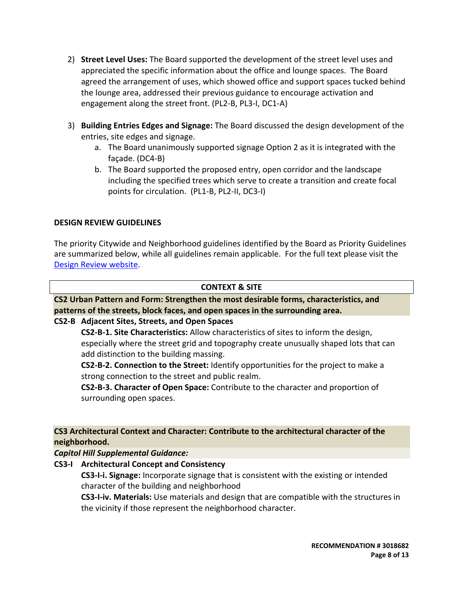- 2) **Street Level Uses:** The Board supported the development of the street level uses and appreciated the specific information about the office and lounge spaces. The Board agreed the arrangement of uses, which showed office and support spaces tucked behind the lounge area, addressed their previous guidance to encourage activation and engagement along the street front. (PL2‐B, PL3‐I, DC1‐A)
- 3) **Building Entries Edges and Signage:** The Board discussed the design development of the entries, site edges and signage.
	- a. The Board unanimously supported signage Option 2 as it is integrated with the façade. (DC4‐B)
	- b. The Board supported the proposed entry, open corridor and the landscape including the specified trees which serve to create a transition and create focal points for circulation. (PL1‐B, PL2‐II, DC3‐I)

## **DESIGN REVIEW GUIDELINES**

The priority Citywide and Neighborhood guidelines identified by the Board as Priority Guidelines are summarized below, while all guidelines remain applicable. For the full text please visit the Design Review website.

#### **CONTEXT & SITE**

**CS2 Urban Pattern and Form: Strengthen the most desirable forms, characteristics, and patterns of the streets, block faces, and open spaces in the surrounding area.**

# **CS2‐B Adjacent Sites, Streets, and Open Spaces**

**CS2‐B‐1. Site Characteristics:** Allow characteristics of sites to inform the design, especially where the street grid and topography create unusually shaped lots that can add distinction to the building massing.

**CS2‐B‐2. Connection to the Street:** Identify opportunities for the project to make a strong connection to the street and public realm.

**CS2‐B‐3. Character of Open Space:** Contribute to the character and proportion of surrounding open spaces.

**CS3 Architectural Context and Character: Contribute to the architectural character of the neighborhood.**

#### *Capitol Hill Supplemental Guidance:*

**CS3‐I Architectural Concept and Consistency**

**CS3‐I‐i. Signage:** Incorporate signage that is consistent with the existing or intended character of the building and neighborhood

**CS3‐I‐iv. Materials:** Use materials and design that are compatible with the structures in the vicinity if those represent the neighborhood character.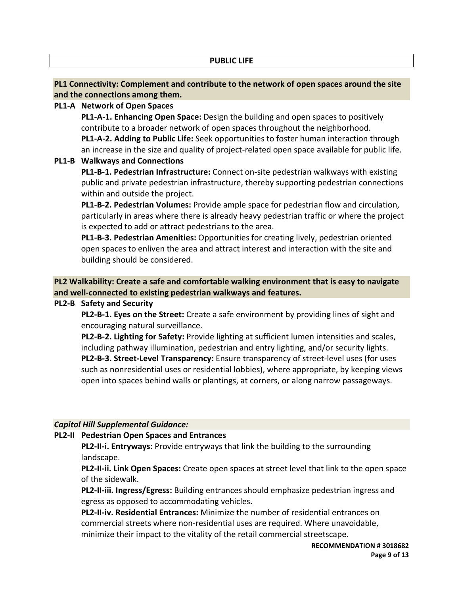#### **PUBLIC LIFE**

# **PL1 Connectivity: Complement and contribute to the network of open spaces around the site and the connections among them.**

## **PL1‐A Network of Open Spaces**

**PL1‐A‐1. Enhancing Open Space:** Design the building and open spaces to positively contribute to a broader network of open spaces throughout the neighborhood. **PL1‐A‐2. Adding to Public Life:** Seek opportunities to foster human interaction through an increase in the size and quality of project-related open space available for public life.

## **PL1‐B Walkways and Connections**

**PL1‐B‐1. Pedestrian Infrastructure:** Connect on‐site pedestrian walkways with existing public and private pedestrian infrastructure, thereby supporting pedestrian connections within and outside the project.

**PL1‐B‐2. Pedestrian Volumes:** Provide ample space for pedestrian flow and circulation, particularly in areas where there is already heavy pedestrian traffic or where the project is expected to add or attract pedestrians to the area.

**PL1‐B‐3. Pedestrian Amenities:** Opportunities for creating lively, pedestrian oriented open spaces to enliven the area and attract interest and interaction with the site and building should be considered.

**PL2 Walkability: Create a safe and comfortable walking environment that is easy to navigate and well‐connected to existing pedestrian walkways and features.**

#### **PL2‐B Safety and Security**

**PL2‐B‐1. Eyes on the Street:** Create a safe environment by providing lines of sight and encouraging natural surveillance.

**PL2‐B‐2. Lighting for Safety:** Provide lighting at sufficient lumen intensities and scales, including pathway illumination, pedestrian and entry lighting, and/or security lights. **PL2‐B‐3. Street‐Level Transparency:** Ensure transparency of street‐level uses (for uses such as nonresidential uses or residential lobbies), where appropriate, by keeping views open into spaces behind walls or plantings, at corners, or along narrow passageways.

# *Capitol Hill Supplemental Guidance:*

# **PL2‐II Pedestrian Open Spaces and Entrances**

**PL2‐II‐i. Entryways:** Provide entryways that link the building to the surrounding landscape.

**PL2‐II‐ii. Link Open Spaces:** Create open spaces at street level that link to the open space of the sidewalk.

**PL2‐II‐iii. Ingress/Egress:** Building entrances should emphasize pedestrian ingress and egress as opposed to accommodating vehicles.

**PL2‐II‐iv. Residential Entrances:** Minimize the number of residential entrances on commercial streets where non-residential uses are required. Where unavoidable, minimize their impact to the vitality of the retail commercial streetscape.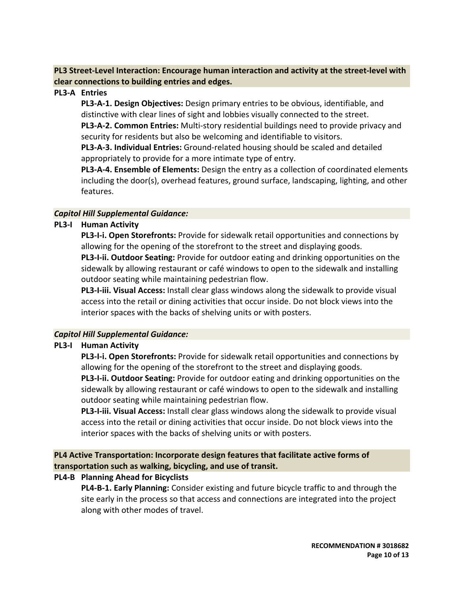**PL3 Street‐Level Interaction: Encourage human interaction and activity at the street‐level with clear connections to building entries and edges.**

## **PL3‐A Entries**

**PL3‐A‐1. Design Objectives:** Design primary entries to be obvious, identifiable, and distinctive with clear lines of sight and lobbies visually connected to the street. **PL3‐A‐2. Common Entries:** Multi‐story residential buildings need to provide privacy and security for residents but also be welcoming and identifiable to visitors.

**PL3‐A‐3. Individual Entries:** Ground‐related housing should be scaled and detailed appropriately to provide for a more intimate type of entry.

**PL3‐A‐4. Ensemble of Elements:** Design the entry as a collection of coordinated elements including the door(s), overhead features, ground surface, landscaping, lighting, and other features.

## *Capitol Hill Supplemental Guidance:*

# **PL3‐I Human Activity**

**PL3‐I‐i. Open Storefronts:** Provide for sidewalk retail opportunities and connections by allowing for the opening of the storefront to the street and displaying goods.

**PL3‐I‐ii. Outdoor Seating:** Provide for outdoor eating and drinking opportunities on the sidewalk by allowing restaurant or café windows to open to the sidewalk and installing outdoor seating while maintaining pedestrian flow.

**PL3‐I‐iii. Visual Access:** Install clear glass windows along the sidewalk to provide visual access into the retail or dining activities that occur inside. Do not block views into the interior spaces with the backs of shelving units or with posters.

# *Capitol Hill Supplemental Guidance:*

# **PL3‐I Human Activity**

**PL3‐I‐i. Open Storefronts:** Provide for sidewalk retail opportunities and connections by allowing for the opening of the storefront to the street and displaying goods.

**PL3‐I‐ii. Outdoor Seating:** Provide for outdoor eating and drinking opportunities on the sidewalk by allowing restaurant or café windows to open to the sidewalk and installing outdoor seating while maintaining pedestrian flow.

**PL3‐I‐iii. Visual Access:** Install clear glass windows along the sidewalk to provide visual access into the retail or dining activities that occur inside. Do not block views into the interior spaces with the backs of shelving units or with posters.

# **PL4 Active Transportation: Incorporate design features that facilitate active forms of transportation such as walking, bicycling, and use of transit.**

# **PL4‐B Planning Ahead for Bicyclists**

**PL4‐B‐1. Early Planning:** Consider existing and future bicycle traffic to and through the site early in the process so that access and connections are integrated into the project along with other modes of travel.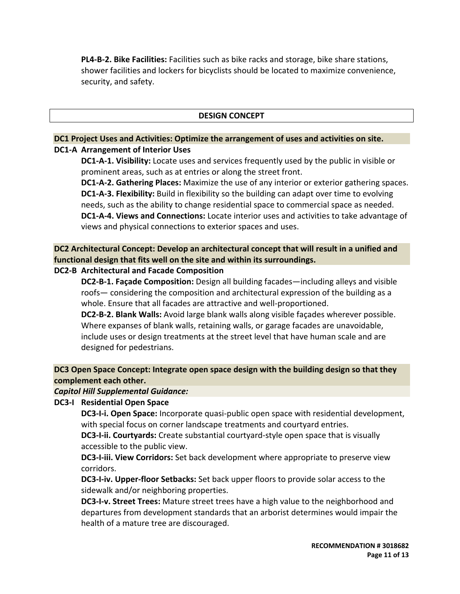**PL4‐B‐2. Bike Facilities:** Facilities such as bike racks and storage, bike share stations, shower facilities and lockers for bicyclists should be located to maximize convenience, security, and safety.

#### **DESIGN CONCEPT**

## **DC1 Project Uses and Activities: Optimize the arrangement of uses and activities on site. DC1‐A Arrangement of Interior Uses**

**DC1‐A‐1. Visibility:** Locate uses and services frequently used by the public in visible or prominent areas, such as at entries or along the street front.

**DC1‐A‐2. Gathering Places:** Maximize the use of any interior or exterior gathering spaces. **DC1‐A‐3. Flexibility:** Build in flexibility so the building can adapt over time to evolving needs, such as the ability to change residential space to commercial space as needed. **DC1‐A‐4. Views and Connections:** Locate interior uses and activities to take advantage of views and physical connections to exterior spaces and uses.

**DC2 Architectural Concept: Develop an architectural concept that will result in a unified and functional design that fits well on the site and within its surroundings.**

## **DC2‐B Architectural and Facade Composition**

**DC2‐B‐1. Façade Composition:** Design all building facades—including alleys and visible roofs— considering the composition and architectural expression of the building as a whole. Ensure that all facades are attractive and well‐proportioned.

**DC2‐B‐2. Blank Walls:** Avoid large blank walls along visible façades wherever possible. Where expanses of blank walls, retaining walls, or garage facades are unavoidable, include uses or design treatments at the street level that have human scale and are designed for pedestrians.

# **DC3 Open Space Concept: Integrate open space design with the building design so that they complement each other.**

#### *Capitol Hill Supplemental Guidance:*

#### **DC3‐I Residential Open Space**

**DC3‐I‐i. Open Space:** Incorporate quasi‐public open space with residential development, with special focus on corner landscape treatments and courtyard entries.

**DC3‐I‐ii. Courtyards:** Create substantial courtyard‐style open space that is visually accessible to the public view.

**DC3‐I‐iii. View Corridors:** Set back development where appropriate to preserve view corridors.

**DC3‐I‐iv. Upper‐floor Setbacks:** Set back upper floors to provide solar access to the sidewalk and/or neighboring properties.

**DC3‐I‐v. Street Trees:** Mature street trees have a high value to the neighborhood and departures from development standards that an arborist determines would impair the health of a mature tree are discouraged.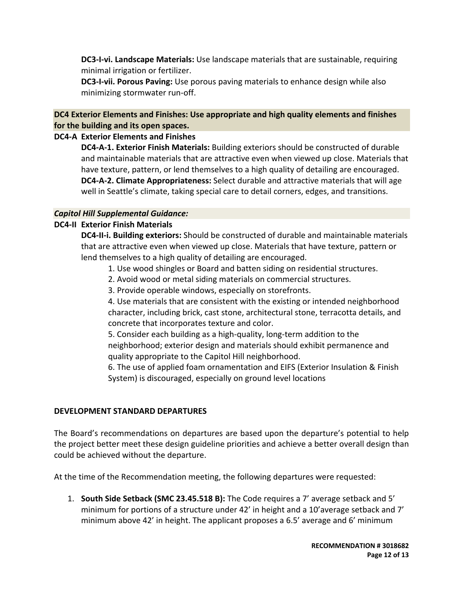**DC3‐I‐vi. Landscape Materials:** Use landscape materials that are sustainable, requiring minimal irrigation or fertilizer.

**DC3‐I‐vii. Porous Paving:** Use porous paving materials to enhance design while also minimizing stormwater run‐off.

## **DC4 Exterior Elements and Finishes: Use appropriate and high quality elements and finishes for the building and its open spaces.**

## **DC4‐A Exterior Elements and Finishes**

**DC4‐A‐1. Exterior Finish Materials:** Building exteriors should be constructed of durable and maintainable materials that are attractive even when viewed up close. Materials that have texture, pattern, or lend themselves to a high quality of detailing are encouraged. **DC4‐A‐2. Climate Appropriateness:** Select durable and attractive materials that will age well in Seattle's climate, taking special care to detail corners, edges, and transitions.

## *Capitol Hill Supplemental Guidance:*

## **DC4‐II Exterior Finish Materials**

**DC4‐II‐i. Building exteriors:** Should be constructed of durable and maintainable materials that are attractive even when viewed up close. Materials that have texture, pattern or lend themselves to a high quality of detailing are encouraged.

- 1. Use wood shingles or Board and batten siding on residential structures.
- 2. Avoid wood or metal siding materials on commercial structures.
- 3. Provide operable windows, especially on storefronts.

4. Use materials that are consistent with the existing or intended neighborhood character, including brick, cast stone, architectural stone, terracotta details, and concrete that incorporates texture and color.

5. Consider each building as a high‐quality, long‐term addition to the neighborhood; exterior design and materials should exhibit permanence and quality appropriate to the Capitol Hill neighborhood.

6. The use of applied foam ornamentation and EIFS (Exterior Insulation & Finish System) is discouraged, especially on ground level locations

#### **DEVELOPMENT STANDARD DEPARTURES**

The Board's recommendations on departures are based upon the departure's potential to help the project better meet these design guideline priorities and achieve a better overall design than could be achieved without the departure.

At the time of the Recommendation meeting, the following departures were requested:

1. **South Side Setback (SMC 23.45.518 B):** The Code requires a 7' average setback and 5' minimum for portions of a structure under 42' in height and a 10'average setback and 7' minimum above 42' in height. The applicant proposes a 6.5' average and 6' minimum